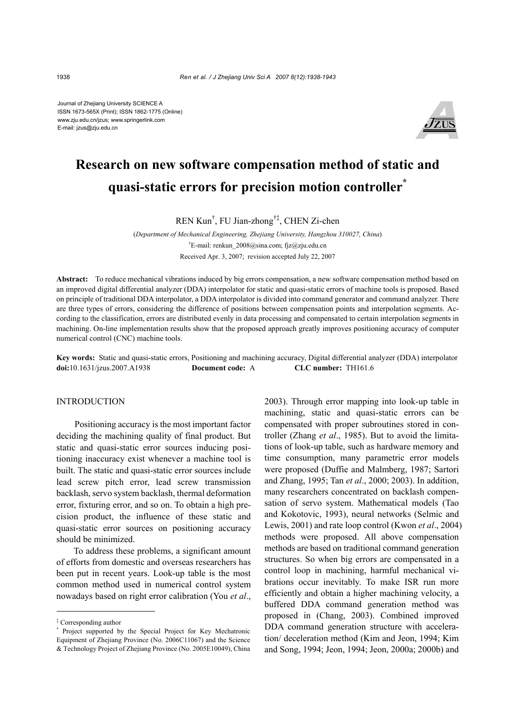Journal of Zhejiang University SCIENCE A ISSN 1673-565X (Print); ISSN 1862-1775 (Online) www.zju.edu.cn/jzus; www.springerlink.com E-mail: jzus@zju.edu.cn



# **Research on new software compensation method of static and quasi-static errors for precision motion controller\***

REN Kun† , FU Jian-zhong†‡, CHEN Zi-chen

(*Department of Mechanical Engineering, Zhejiang University, Hangzhou 310027, China*) † E-mail: renkun\_2008@sina.com; fjz@zju.edu.cn Received Apr. 3, 2007; revision accepted July 22, 2007

**Abstract:** To reduce mechanical vibrations induced by big errors compensation, a new software compensation method based on an improved digital differential analyzer (DDA) interpolator for static and quasi-static errors of machine tools is proposed. Based on principle of traditional DDA interpolator, a DDA interpolator is divided into command generator and command analyzer. There are three types of errors, considering the difference of positions between compensation points and interpolation segments. According to the classification, errors are distributed evenly in data processing and compensated to certain interpolation segments in machining. On-line implementation results show that the proposed approach greatly improves positioning accuracy of computer numerical control (CNC) machine tools.

**Key words:** Static and quasi-static errors, Positioning and machining accuracy, Digital differential analyzer (DDA) interpolator **doi:**10.1631/jzus.2007.A1938 **Document code:** A **CLC number:** TH161.6

# INTRODUCTION

Positioning accuracy is the most important factor deciding the machining quality of final product. But static and quasi-static error sources inducing positioning inaccuracy exist whenever a machine tool is built. The static and quasi-static error sources include lead screw pitch error, lead screw transmission backlash, servo system backlash, thermal deformation error, fixturing error, and so on. To obtain a high precision product, the influence of these static and quasi-static error sources on positioning accuracy should be minimized.

To address these problems, a significant amount of efforts from domestic and overseas researchers has been put in recent years. Look-up table is the most common method used in numerical control system nowadays based on right error calibration (You *et al*.,

2003). Through error mapping into look-up table in machining, static and quasi-static errors can be compensated with proper subroutines stored in controller (Zhang *et al*., 1985). But to avoid the limitations of look-up table, such as hardware memory and time consumption, many parametric error models were proposed (Duffie and Malmberg, 1987; Sartori and Zhang, 1995; Tan *et al*., 2000; 2003). In addition, many researchers concentrated on backlash compensation of servo system. Mathematical models (Tao and Kokotovic, 1993), neural networks (Selmic and Lewis, 2001) and rate loop control (Kwon *et al*., 2004) methods were proposed. All above compensation methods are based on traditional command generation structures. So when big errors are compensated in a control loop in machining, harmful mechanical vibrations occur inevitably. To make ISR run more efficiently and obtain a higher machining velocity, a buffered DDA command generation method was proposed in (Chang, 2003). Combined improved DDA command generation structure with acceleration/ deceleration method (Kim and Jeon, 1994; Kim and Song, 1994; Jeon, 1994; Jeon, 2000a; 2000b) and

<sup>‡</sup> Corresponding author

<sup>\*</sup> Project supported by the Special Project for Key Mechatronic Equipment of Zhejiang Province (No. 2006C11067) and the Science & Technology Project of Zhejiang Province (No. 2005E10049), China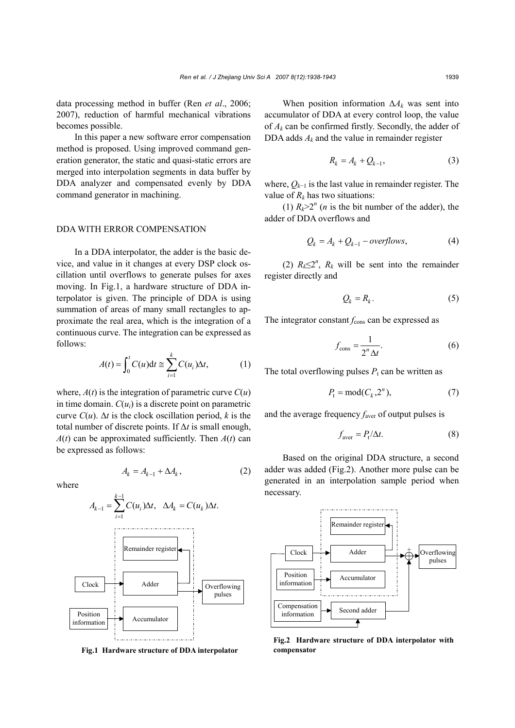data processing method in buffer (Ren *et al*., 2006; 2007), reduction of harmful mechanical vibrations becomes possible.

In this paper a new software error compensation method is proposed. Using improved command generation generator, the static and quasi-static errors are merged into interpolation segments in data buffer by DDA analyzer and compensated evenly by DDA command generator in machining.

# DDA WITH ERROR COMPENSATION

In a DDA interpolator, the adder is the basic device, and value in it changes at every DSP clock oscillation until overflows to generate pulses for axes moving. In Fig.1, a hardware structure of DDA interpolator is given. The principle of DDA is using summation of areas of many small rectangles to approximate the real area, which is the integration of a continuous curve. The integration can be expressed as follows:

$$
A(t) = \int_0^t C(u) dt \approx \sum_{i=1}^k C(u_i) \Delta t, \qquad (1)
$$

where,  $A(t)$  is the integration of parametric curve  $C(u)$ in time domain.  $C(u_i)$  is a discrete point on parametric curve  $C(u)$ .  $\Delta t$  is the clock oscillation period, *k* is the total number of discrete points. If ∆*t* is small enough,  $A(t)$  can be approximated sufficiently. Then  $A(t)$  can be expressed as follows:

$$
A_k = A_{k-1} + \Delta A_k, \qquad (2)
$$

where



**Fig.1 Hardware structure of DDA interpolator**

When position information ∆*Ak* was sent into accumulator of DDA at every control loop, the value of  $A_k$  can be confirmed firstly. Secondly, the adder of DDA adds  $A_k$  and the value in remainder register

$$
R_k = A_k + Q_{k-1},\tag{3}
$$

where, *Qk*−1 is the last value in remainder register. The value of  $R_k$  has two situations:

(1)  $R_k > 2^n$  (*n* is the bit number of the adder), the adder of DDA overflows and

$$
Q_k = A_k + Q_{k-1} - overflows,
$$
 (4)

(2)  $R_k \leq 2^n$ ,  $R_k$  will be sent into the remainder register directly and

$$
Q_k = R_k. \tag{5}
$$

The integrator constant  $f_{\text{cons}}$  can be expressed as

$$
f_{\text{cons}} = \frac{1}{2^n \Delta t}.
$$
 (6)

The total overflowing pulses  $P_t$  can be written as

$$
P_{t} = \text{mod}(C_{k}, 2^{n}),\tag{7}
$$

and the average frequency  $f_{\text{aver}}$  of output pulses is

$$
f_{\text{aver}} = P_{\text{t}}/\Delta t. \tag{8}
$$

Based on the original DDA structure, a second adder was added (Fig.2). Another more pulse can be generated in an interpolation sample period when necessary.



**Fig.2 Hardware structure of DDA interpolator with compensator**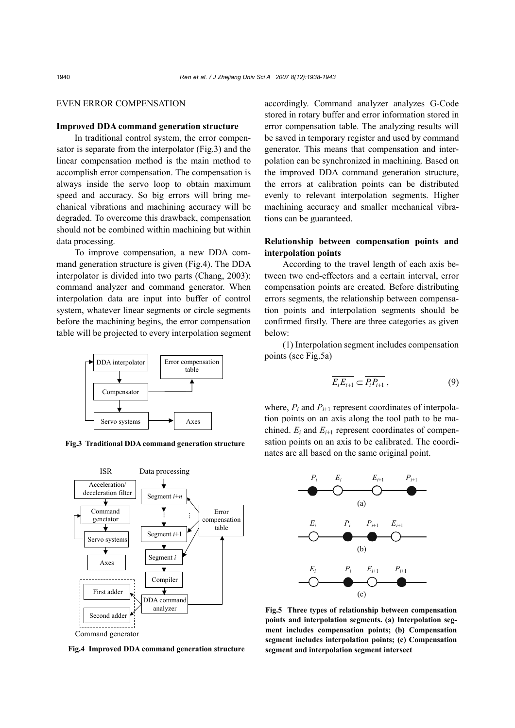## EVEN ERROR COMPENSATION

## **Improved DDA command generation structure**

In traditional control system, the error compensator is separate from the interpolator (Fig.3) and the linear compensation method is the main method to accomplish error compensation. The compensation is always inside the servo loop to obtain maximum speed and accuracy. So big errors will bring mechanical vibrations and machining accuracy will be degraded. To overcome this drawback, compensation should not be combined within machining but within data processing.

To improve compensation, a new DDA command generation structure is given (Fig.4). The DDA interpolator is divided into two parts (Chang, 2003): command analyzer and command generator. When interpolation data are input into buffer of control system, whatever linear segments or circle segments before the machining begins, the error compensation table will be projected to every interpolation segment



**Fig.3 Traditional DDA command generation structure**



**Fig.4 Improved DDA command generation structure**

accordingly. Command analyzer analyzes G-Code stored in rotary buffer and error information stored in error compensation table. The analyzing results will be saved in temporary register and used by command generator. This means that compensation and interpolation can be synchronized in machining. Based on the improved DDA command generation structure, the errors at calibration points can be distributed evenly to relevant interpolation segments. Higher machining accuracy and smaller mechanical vibrations can be guaranteed.

# **Relationship between compensation points and interpolation points**

According to the travel length of each axis between two end-effectors and a certain interval, error compensation points are created. Before distributing errors segments, the relationship between compensation points and interpolation segments should be confirmed firstly. There are three categories as given below:

(1) Interpolation segment includes compensation points (see Fig.5a)

$$
\overline{E_i E_{i+1}} \subset \overline{P_i P_{i+1}}\,,\tag{9}
$$

where,  $P_i$  and  $P_{i+1}$  represent coordinates of interpolation points on an axis along the tool path to be machined.  $E_i$  and  $E_{i+1}$  represent coordinates of compensation points on an axis to be calibrated. The coordinates are all based on the same original point.



**Fig.5 Three types of relationship between compensation points and interpolation segments. (a) Interpolation segment includes compensation points; (b) Compensation segment includes interpolation points; (c) Compensation segment and interpolation segment intersect**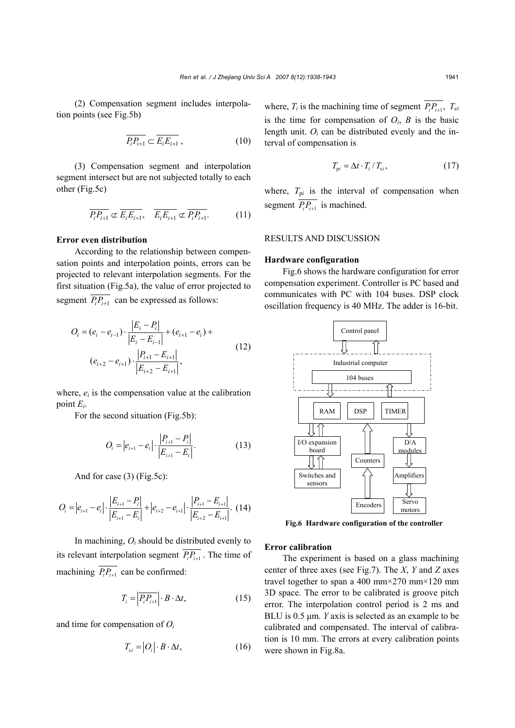(2) Compensation segment includes interpolation points (see Fig.5b)

$$
\overline{P_i P_{i+1}} \subset \overline{E_i E_{i+1}},\tag{10}
$$

(3) Compensation segment and interpolation segment intersect but are not subjected totally to each other (Fig.5c)

$$
\overline{P_i P_{i+1}} \not\subset \overline{E_i E_{i+1}}, \quad \overline{E_i E_{i+1}} \not\subset \overline{P_i P_{i+1}}.
$$
 (11)

## **Error even distribution**

According to the relationship between compensation points and interpolation points, errors can be projected to relevant interpolation segments. For the first situation (Fig.5a), the value of error projected to segment  $\overline{P_i P_{i+1}}$  can be expressed as follows:

$$
O_{i} = (e_{i} - e_{i-1}) \cdot \frac{|E_{i} - P_{i}|}{|E_{i} - E_{i-1}|} + (e_{i+1} - e_{i}) +
$$
  

$$
(e_{i+2} - e_{i+1}) \cdot \frac{|P_{i+1} - E_{i+1}|}{|E_{i+2} - E_{i+1}|},
$$
 (12)

where,  $e_i$  is the compensation value at the calibration point *Ei*.

For the second situation (Fig.5b):

$$
O_i = |e_{i+1} - e_i| \cdot \frac{|P_{i+1} - P_i|}{|E_{i+1} - E_i|}.
$$
 (13)

And for case (3) (Fig.5c):

$$
O_i = |e_{i+1} - e_i| \cdot \frac{|E_{i+1} - P_i|}{|E_{i+1} - E_i|} + |e_{i+2} - e_{i+1}| \cdot \frac{|P_{i+1} - E_{i+1}|}{|E_{i+2} - E_{i+1}|}.
$$
 (14)

In machining, *Oi* should be distributed evenly to its relevant interpolation segment  $\overline{P_i P_{i+1}}$ . The time of machining  $\overline{P_i P_{i+1}}$  can be confirmed:

$$
T_i = \left| \overline{P_i P_{i+1}} \right| \cdot B \cdot \Delta t, \qquad (15)
$$

and time for compensation of *Oi*

$$
T_{ci} = |O_i| \cdot B \cdot \Delta t,\tag{16}
$$

where,  $T_i$  is the machining time of segment  $\overline{P_i P_{i+1}}$ ,  $T_{ci}$ is the time for compensation of  $O_i$ ,  $B$  is the basic length unit.  $O_i$  can be distributed evenly and the interval of compensation is

$$
T_{\mathbf{p}i} = \Delta t \cdot T_i / T_{ci},\tag{17}
$$

where,  $T_{pi}$  is the interval of compensation when segment  $\overline{P_i P_{i+1}}$  is machined.

## RESULTS AND DISCUSSION

## **Hardware configuration**

Fig.6 shows the hardware configuration for error compensation experiment. Controller is PC based and communicates with PC with 104 buses. DSP clock oscillation frequency is 40 MHz. The adder is 16-bit.



**Fig.6 Hardware configuration of the controller**

#### **Error calibration**

The experiment is based on a glass machining center of three axes (see Fig.7). The *X*, *Y* and *Z* axes travel together to span a 400 mm×270 mm×120 mm 3D space. The error to be calibrated is groove pitch error. The interpolation control period is 2 ms and BLU is 0.5  $\mu$ m. *Y* axis is selected as an example to be calibrated and compensated. The interval of calibration is 10 mm. The errors at every calibration points were shown in Fig.8a.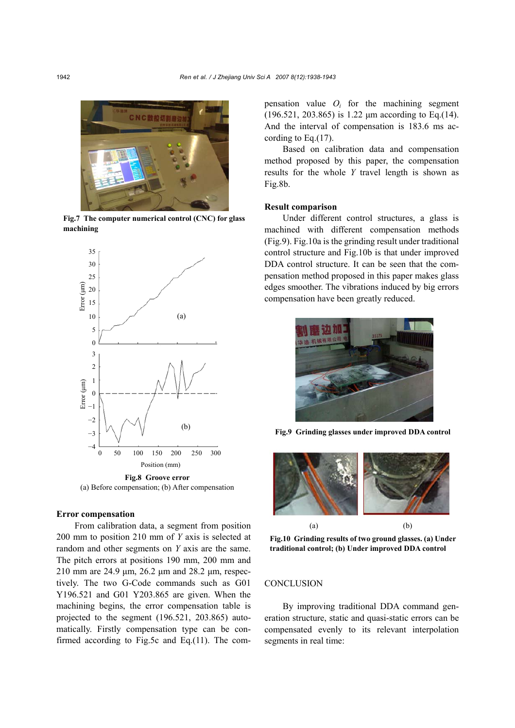

**Fig.7 The computer numerical control (CNC) for glass machining**



**Fig.8 Groove error**  (a) Before compensation; (b) After compensation

# **Error compensation**

From calibration data, a segment from position 200 mm to position 210 mm of *Y* axis is selected at random and other segments on *Y* axis are the same. The pitch errors at positions 190 mm, 200 mm and 210 mm are 24.9 µm, 26.2 µm and 28.2 µm, respectively. The two G-Code commands such as G01 Y196.521 and G01 Y203.865 are given. When the machining begins, the error compensation table is projected to the segment (196.521, 203.865) automatically. Firstly compensation type can be confirmed according to Fig.5c and Eq.(11). The compensation value  $O_i$  for the machining segment (196.521, 203.865) is 1.22 µm according to Eq.(14). And the interval of compensation is 183.6 ms according to Eq.(17).

Based on calibration data and compensation method proposed by this paper, the compensation results for the whole *Y* travel length is shown as Fig.8b.

#### **Result comparison**

Under different control structures, a glass is machined with different compensation methods (Fig.9). Fig.10a is the grinding result under traditional control structure and Fig.10b is that under improved DDA control structure. It can be seen that the compensation method proposed in this paper makes glass edges smoother. The vibrations induced by big errors compensation have been greatly reduced.



**Fig.9 Grinding glasses under improved DDA control**



**Fig.10 Grinding results of two ground glasses. (a) Under traditional control; (b) Under improved DDA control** 

# **CONCLUSION**

By improving traditional DDA command generation structure, static and quasi-static errors can be compensated evenly to its relevant interpolation segments in real time: